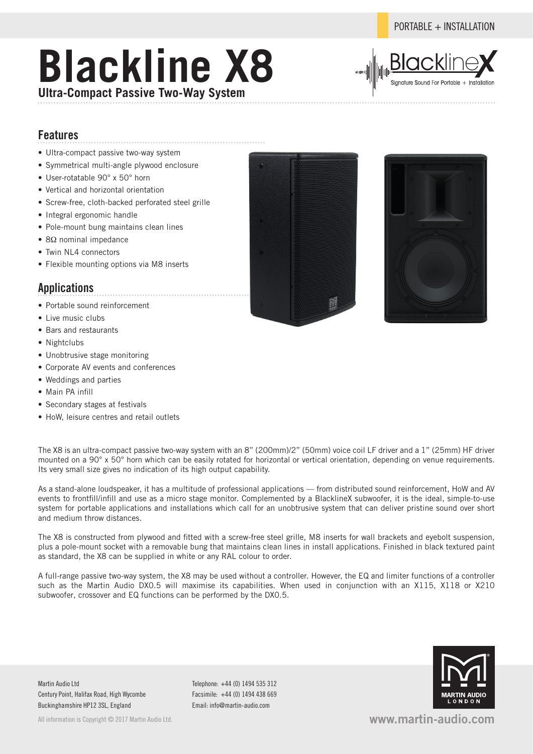#### PORTABLE + INSTALLATION

## **Blackline X8 Ultra-Compact Passive Two-Way System**



### **Features**

- Ultra-compact passive two-way system
- Symmetrical multi-angle plywood enclosure
- User-rotatable 90° x 50° horn
- Vertical and horizontal orientation
- Screw-free, cloth-backed perforated steel grille
- Integral ergonomic handle
- Pole-mount bung maintains clean lines
- 8Ω nominal impedance
- Twin NL4 connectors
- Flexible mounting options via M8 inserts

#### **Applications**

- Portable sound reinforcement
- Live music clubs
- Bars and restaurants
- Nightclubs
- Unobtrusive stage monitoring
- Corporate AV events and conferences
- Weddings and parties
- Main PA infill
- Secondary stages at festivals
- HoW, leisure centres and retail outlets

The X8 is an ultra-compact passive two-way system with an 8" (200mm)/2" (50mm) voice coil LF driver and a 1" (25mm) HF driver mounted on a 90° x 50° horn which can be easily rotated for horizontal or vertical orientation, depending on venue requirements. Its very small size gives no indication of its high output capability.

As a stand-alone loudspeaker, it has a multitude of professional applications — from distributed sound reinforcement, HoW and AV events to frontfill/infill and use as a micro stage monitor. Complemented by a BlacklineX subwoofer, it is the ideal, simple-to-use system for portable applications and installations which call for an unobtrusive system that can deliver pristine sound over short and medium throw distances.

The X8 is constructed from plywood and fitted with a screw-free steel grille, M8 inserts for wall brackets and eyebolt suspension, plus a pole-mount socket with a removable bung that maintains clean lines in install applications. Finished in black textured paint as standard, the X8 can be supplied in white or any RAL colour to order.

A full-range passive two-way system, the X8 may be used without a controller. However, the EQ and limiter functions of a controller such as the Martin Audio DX0.5 will maximise its capabilities. When used in conjunction with an X115, X118 or X210 subwoofer, crossover and EQ functions can be performed by the DX0.5.

Martin Audio Ltd Century Point, Halifax Road, High Wycombe Buckinghamshire HP12 3SL, England

All information is Copyright © 2017 Martin Audio Ltd.

Telephone: +44 (0) 1494 535 312 Facsimile: +44 (0) 1494 438 669 Email: info@martin-audio.com